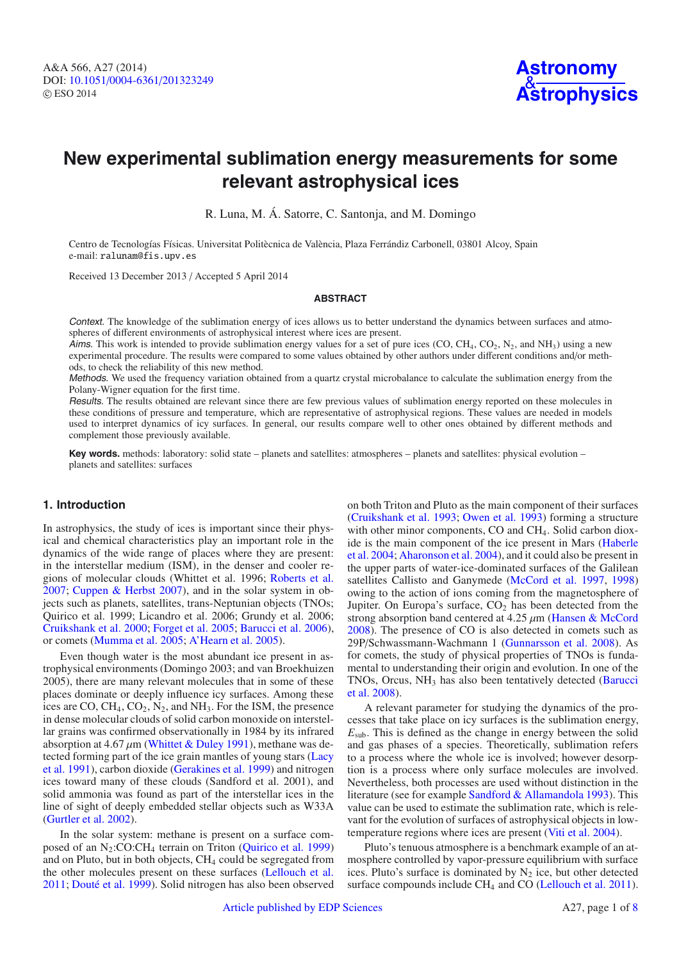# **New experimental sublimation energy measurements for some relevant astrophysical ices**

R. Luna, M. Á. Satorre, C. Santonja, and M. Domingo

Centro de Tecnologías Físicas. Universitat Politècnica de València, Plaza Ferrándiz Carbonell, 03801 Alcoy, Spain e-mail: ralunam@fis.upv.es

Received 13 December 2013 / Accepted 5 April 2014

#### **ABSTRACT**

Context. The knowledge of the sublimation energy of ices allows us to better understand the dynamics between surfaces and atmospheres of different environments of astrophysical interest where ices are present.

Aims. This work is intended to provide sublimation energy values for a set of pure ices (CO, CH<sub>4</sub>, CO<sub>2</sub>, N<sub>2</sub>, and NH<sub>3</sub>) using a new experimental procedure. The results were compared to some values obtained by other authors under different conditions and/or methods, to check the reliability of this new method.

Methods. We used the frequency variation obtained from a quartz crystal microbalance to calculate the sublimation energy from the Polany-Wigner equation for the first time.

Results. The results obtained are relevant since there are few previous values of sublimation energy reported on these molecules in these conditions of pressure and temperature, which are representative of astrophysical regions. These values are needed in models used to interpret dynamics of icy surfaces. In general, our results compare well to other ones obtained by different methods and complement those previously available.

**Key words.** methods: laboratory: solid state – planets and satellites: atmospheres – planets and satellites: physical evolution – planets and satellites: surfaces

# **1. Introduction**

In astrophysics, the study of ices is important since their physical and chemical characteristics play an important role in the dynamics of the wide range of places where they are present: in the interstellar medium (ISM), in the denser and cooler regions of molecular clouds (Whittet et al. 1996; [Roberts et al.](#page-7-0) [2007;](#page-7-0) [Cuppen & Herbst 2007\)](#page-6-0), and in the solar system in objects such as planets, satellites, trans-Neptunian objects (TNOs; Quirico et al. 1999; Licandro et al. 2006; Grundy et al. 2006; [Cruikshank et al. 2000](#page-6-1); [Forget et al. 2005](#page-6-2); [Barucci et al. 2006\)](#page-6-3), or comets [\(Mumma et al. 2005;](#page-7-1) [A'Hearn et al. 2005](#page-6-4)).

Even though water is the most abundant ice present in astrophysical environments (Domingo 2003; and van Broekhuizen 2005), there are many relevant molecules that in some of these places dominate or deeply influence icy surfaces. Among these ices are CO,  $CH_4$ ,  $CO_2$ ,  $N_2$ , and  $NH_3$ . For the ISM, the presence in dense molecular clouds of solid carbon monoxide on interstellar grains was confirmed observationally in 1984 by its infrared absorption at 4.67  $\mu$ m [\(Whittet & Duley 1991](#page-7-2)), methane was detecte[d forming part of the ice grain mantles of young stars \(](#page-7-3)Lacy et al. [1991](#page-7-3)), carbon dioxide [\(Gerakines et al. 1999](#page-6-5)) and nitrogen ices toward many of these clouds (Sandford et al. 2001), and solid ammonia was found as part of the interstellar ices in the line of sight of deeply embedded stellar objects such as W33A [\(Gurtler et al. 2002](#page-7-4)).

In the solar system: methane is present on a surface composed of an N2:CO:CH4 terrain on Triton [\(Quirico et al. 1999](#page-7-5)) and on Pluto, but in both objects, CH<sub>4</sub> could be segregated from the other molecules present on these surfaces [\(Lellouch et al.](#page-7-6) [2011;](#page-7-6) [Douté et al. 1999](#page-6-6)). Solid nitrogen has also been observed on both Triton and Pluto as the main component of their surfaces [\(Cruikshank et al. 1993;](#page-6-7) [Owen et al. 1993\)](#page-7-7) forming a structure with other minor components, CO and CH<sub>4</sub>. Solid carbon dioxide i[s the main component of the ice present in Mars \(](#page-7-8)Haberle et al. [2004](#page-7-8); [Aharonson et al. 2004](#page-6-8)), and it could also be present in the upper parts of water-ice-dominated surfaces of the Galilean satellites Callisto and Ganymede [\(McCord et al. 1997,](#page-7-9) [1998](#page-7-10)) owing to the action of ions coming from the magnetosphere of Jupiter. On Europa's surface,  $CO<sub>2</sub>$  has been detected from the strong absorption band centered at 4.25 μm [\(Hansen & McCord](#page-7-11) [2008\)](#page-7-11). The presence of CO is also detected in comets such as 29P/Schwassmann-Wachmann 1 [\(Gunnarsson et al. 2008\)](#page-7-12). As for comets, the study of physical properties of TNOs is fundamental to understanding their origin and evolution. In one of the TNOs, Orcus,  $NH<sub>3</sub>$  [has also been tentatively detected \(](#page-6-9)Barucci et al. [2008](#page-6-9)).

A relevant parameter for studying the dynamics of the processes that take place on icy surfaces is the sublimation energy,  $E<sub>sub</sub>$ . This is defined as the change in energy between the solid and gas phases of a species. Theoretically, sublimation refers to a process where the whole ice is involved; however desorption is a process where only surface molecules are involved. Nevertheless, both processes are used without distinction in the literature (see for example [Sandford & Allamandola 1993\)](#page-7-13). This value can be used to estimate the sublimation rate, which is relevant for the evolution of surfaces of astrophysical objects in lowtemperature regions where ices are present [\(Viti et al. 2004\)](#page-7-14).

Pluto's tenuous atmosphere is a benchmark example of an atmosphere controlled by vapor-pressure equilibrium with surface ices. Pluto's surface is dominated by  $N_2$  ice, but other detected surface compounds include CH<sub>4</sub> and CO [\(Lellouch et al. 2011\)](#page-7-6).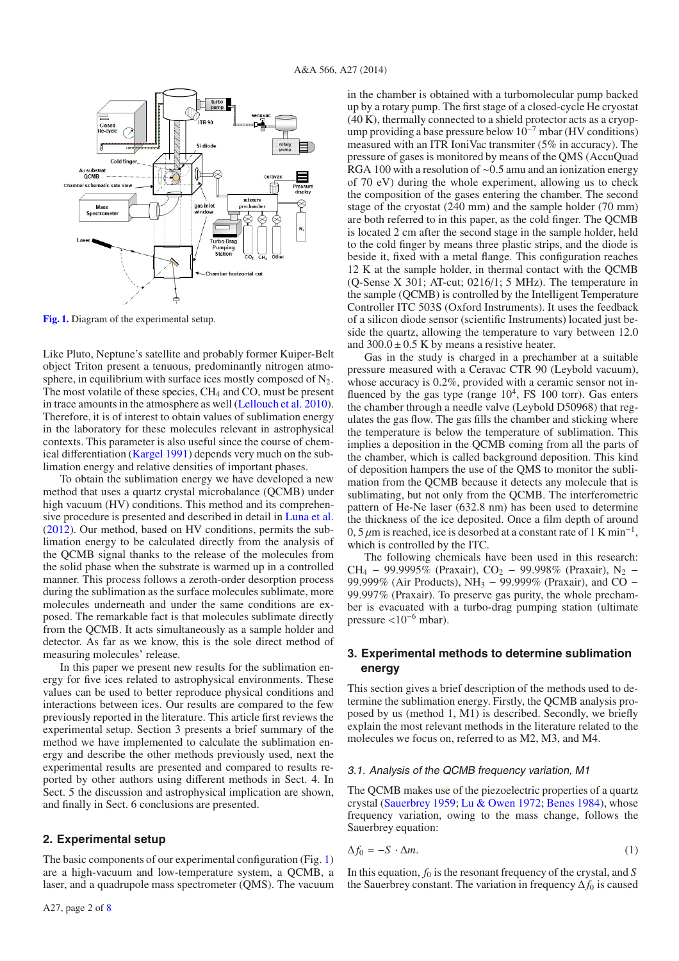<span id="page-1-0"></span>

**[Fig. 1.](http://dexter.edpsciences.org/applet.php?DOI=10.1051/0004-6361/201323249&pdf_id=1)** Diagram of the experimental setup.

Like Pluto, Neptune's satellite and probably former Kuiper-Belt object Triton present a tenuous, predominantly nitrogen atmosphere, in equilibrium with surface ices mostly composed of  $N_2$ . The most volatile of these species, CH<sub>4</sub> and CO, must be present in trace amounts in the atmosphere as well [\(Lellouch et al. 2010\)](#page-7-16). Therefore, it is of interest to obtain values of sublimation energy in the laboratory for these molecules relevant in astrophysical contexts. This parameter is also useful since the course of chemical differentiation [\(Kargel 1991](#page-7-17)) depends very much on the sublimation energy and relative densities of important phases.

To obtain the sublimation energy we have developed a new method that uses a quartz crystal microbalance (QCMB) under high vacuum (HV) conditions. This method and its comprehensive procedure is presented and described in detail in [Luna et al.](#page-7-18) [\(2012](#page-7-18)). Our method, based on HV conditions, permits the sublimation energy to be calculated directly from the analysis of the QCMB signal thanks to the release of the molecules from the solid phase when the substrate is warmed up in a controlled manner. This process follows a zeroth-order desorption process during the sublimation as the surface molecules sublimate, more molecules underneath and under the same conditions are exposed. The remarkable fact is that molecules sublimate directly from the QCMB. It acts simultaneously as a sample holder and detector. As far as we know, this is the sole direct method of measuring molecules' release.

In this paper we present new results for the sublimation energy for five ices related to astrophysical environments. These values can be used to better reproduce physical conditions and interactions between ices. Our results are compared to the few previously reported in the literature. This article first reviews the experimental setup. Section 3 presents a brief summary of the method we have implemented to calculate the sublimation energy and describe the other methods previously used, next the experimental results are presented and compared to results reported by other authors using different methods in Sect. 4. In Sect. 5 the discussion and astrophysical implication are shown, and finally in Sect. 6 conclusions are presented.

#### **2. Experimental setup**

The basic components of our experimental configuration (Fig. [1\)](#page-1-0) are a high-vacuum and low-temperature system, a QCMB, a laser, and a quadrupole mass spectrometer (QMS). The vacuum in the chamber is obtained with a turbomolecular pump backed up by a rotary pump. The first stage of a closed-cycle He cryostat (40 K), thermally connected to a shield protector acts as a cryopump providing a base pressure below  $10^{-7}$  mbar (HV conditions) measured with an ITR IoniVac transmiter (5% in accuracy). The pressure of gases is monitored by means of the QMS (AccuQuad RGA 100 with a resolution of ∼0.5 amu and an ionization energy of 70 eV) during the whole experiment, allowing us to check the composition of the gases entering the chamber. The second stage of the cryostat (240 mm) and the sample holder (70 mm) are both referred to in this paper, as the cold finger. The QCMB is located 2 cm after the second stage in the sample holder, held to the cold finger by means three plastic strips, and the diode is beside it, fixed with a metal flange. This configuration reaches 12 K at the sample holder, in thermal contact with the QCMB (Q-Sense X 301; AT-cut; 0216/1; 5 MHz). The temperature in the sample (QCMB) is controlled by the Intelligent Temperature Controller ITC 503S (Oxford Instruments). It uses the feedback of a silicon diode sensor (scientific Instruments) located just beside the quartz, allowing the temperature to vary between 12.0 and  $300.0 \pm 0.5$  K by means a resistive heater.

Gas in the study is charged in a prechamber at a suitable pressure measured with a Ceravac CTR 90 (Leybold vacuum), whose accuracy is  $0.2\%$ , provided with a ceramic sensor not influenced by the gas type (range  $10<sup>4</sup>$ , FS 100 torr). Gas enters the chamber through a needle valve (Leybold D50968) that regulates the gas flow. The gas fills the chamber and sticking where the temperature is below the temperature of sublimation. This implies a deposition in the QCMB coming from all the parts of the chamber, which is called background deposition. This kind of deposition hampers the use of the QMS to monitor the sublimation from the QCMB because it detects any molecule that is sublimating, but not only from the QCMB. The interferometric pattern of He-Ne laser (632.8 nm) has been used to determine the thickness of the ice deposited. Once a film depth of around 0, 5  $\mu$ m is reached, ice is desorbed at a constant rate of 1 K min<sup>-1</sup>, which is controlled by the ITC.

The following chemicals have been used in this research: CH<sub>4</sub> − 99.9995% (Praxair), CO<sub>2</sub> − 99.998% (Praxair), N<sub>2</sub> − 99.999% (Air Products), NH<sub>3</sub> − 99.999% (Praxair), and CO − 99.997% (Praxair). To preserve gas purity, the whole prechamber is evacuated with a turbo-drag pumping station (ultimate pressure <sup>&</sup>lt;10<sup>−</sup><sup>6</sup> mbar).

# **3. Experimental methods to determine sublimation energy**

This section gives a brief description of the methods used to determine the sublimation energy. Firstly, the QCMB analysis proposed by us (method 1, M1) is described. Secondly, we briefly explain the most relevant methods in the literature related to the molecules we focus on, referred to as M2, M3, and M4.

#### 3.1. Analysis of the QCMB frequency variation, M1

The QCMB makes use of the piezoelectric properties of a quartz crystal [\(Sauerbrey 1959](#page-7-19); [Lu & Owen 1972](#page-7-20); [Benes 1984\)](#page-6-10), whose frequency variation, owing to the mass change, follows the Sauerbrey equation:

$$
\Delta f_0 = -S \cdot \Delta m. \tag{1}
$$

In this equation,  $f_0$  is the resonant frequency of the crystal, and  $S$ the Sauerbrey constant. The variation in frequency  $\Delta f_0$  is caused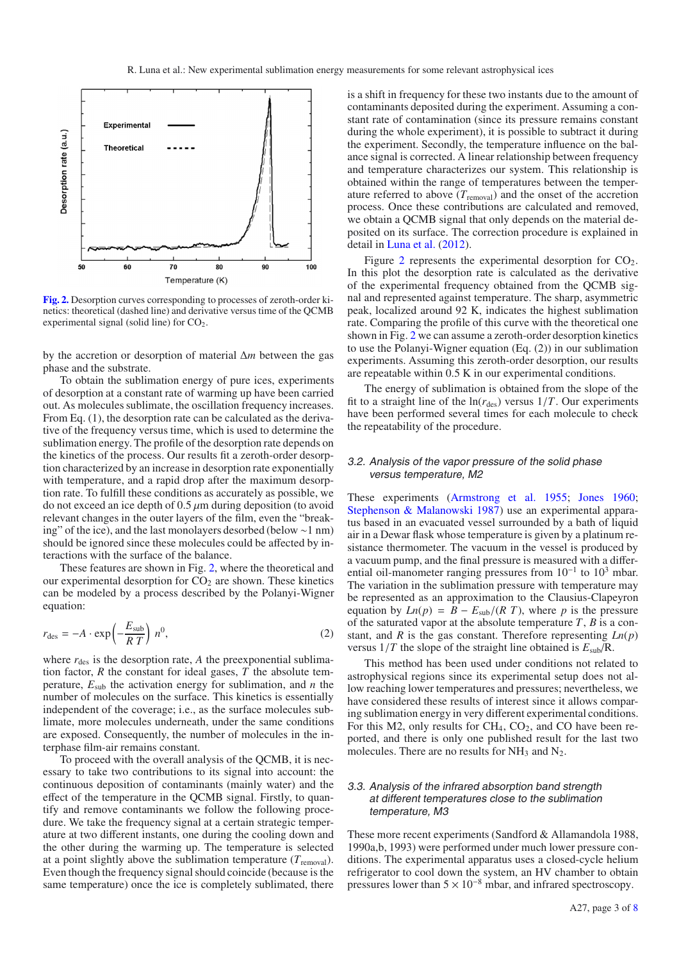<span id="page-2-0"></span>

**[Fig. 2.](http://dexter.edpsciences.org/applet.php?DOI=10.1051/0004-6361/201323249&pdf_id=2)** Desorption curves corresponding to processes of zeroth-order kinetics: theoretical (dashed line) and derivative versus time of the QCMB experimental signal (solid line) for  $CO<sub>2</sub>$ .

by the accretion or desorption of material Δ*m* between the gas phase and the substrate.

To obtain the sublimation energy of pure ices, experiments of desorption at a constant rate of warming up have been carried out. As molecules sublimate, the oscillation frequency increases. From Eq. (1), the desorption rate can be calculated as the derivative of the frequency versus time, which is used to determine the sublimation energy. The profile of the desorption rate depends on the kinetics of the process. Our results fit a zeroth-order desorption characterized by an increase in desorption rate exponentially with temperature, and a rapid drop after the maximum desorption rate. To fulfill these conditions as accurately as possible, we do not exceed an ice depth of  $0.5 \mu$ m during deposition (to avoid relevant changes in the outer layers of the film, even the "breaking" of the ice), and the last monolayers desorbed (below ∼1 nm) should be ignored since these molecules could be affected by interactions with the surface of the balance.

These features are shown in Fig. [2,](#page-2-0) where the theoretical and our experimental desorption for  $CO<sub>2</sub>$  are shown. These kinetics can be modeled by a process described by the Polanyi-Wigner equation:

$$
r_{\text{des}} = -A \cdot \exp\left(-\frac{E_{\text{sub}}}{RT}\right) n^0,\tag{2}
$$

where  $r_{des}$  is the desorption rate,  $A$  the preexponential sublimation factor,  $R$  the constant for ideal gases,  $T$  the absolute temperature, *E*sub the activation energy for sublimation, and *n* the number of molecules on the surface. This kinetics is essentially independent of the coverage; i.e., as the surface molecules sublimate, more molecules underneath, under the same conditions are exposed. Consequently, the number of molecules in the interphase film-air remains constant.

To proceed with the overall analysis of the QCMB, it is necessary to take two contributions to its signal into account: the continuous deposition of contaminants (mainly water) and the effect of the temperature in the QCMB signal. Firstly, to quantify and remove contaminants we follow the following procedure. We take the frequency signal at a certain strategic temperature at two different instants, one during the cooling down and the other during the warming up. The temperature is selected at a point slightly above the sublimation temperature  $(T_{\text{removal}})$ . Even though the frequency signal should coincide (because is the same temperature) once the ice is completely sublimated, there is a shift in frequency for these two instants due to the amount of contaminants deposited during the experiment. Assuming a constant rate of contamination (since its pressure remains constant during the whole experiment), it is possible to subtract it during the experiment. Secondly, the temperature influence on the balance signal is corrected. A linear relationship between frequency and temperature characterizes our system. This relationship is obtained within the range of temperatures between the temperature referred to above  $(T_{\text{removal}})$  and the onset of the accretion process. Once these contributions are calculated and removed, we obtain a QCMB signal that only depends on the material deposited on its surface. The correction procedure is explained in detail in [Luna et al.](#page-7-18) [\(2012\)](#page-7-18).

Figure [2](#page-2-0) represents the experimental desorption for  $CO<sub>2</sub>$ . In this plot the desorption rate is calculated as the derivative of the experimental frequency obtained from the QCMB signal and represented against temperature. The sharp, asymmetric peak, localized around 92 K, indicates the highest sublimation rate. Comparing the profile of this curve with the theoretical one shown in Fig. [2](#page-2-0) we can assume a zeroth-order desorption kinetics to use the Polanyi-Wigner equation (Eq. (2)) in our sublimation experiments. Assuming this zeroth-order desorption, our results are repeatable within 0.5 K in our experimental conditions.

The energy of sublimation is obtained from the slope of the fit to a straight line of the  $ln(r_{des})$  versus  $1/T$ . Our experiments have been performed several times for each molecule to check the repeatability of the procedure.

#### 3.2. Analysis of the vapor pressure of the solid phase versus temperature, M2

These experiments [\(Armstrong et al. 1955](#page-6-11); [Jones 1960;](#page-7-21) [Stephenson & Malanowski 1987\)](#page-7-22) use an experimental apparatus based in an evacuated vessel surrounded by a bath of liquid air in a Dewar flask whose temperature is given by a platinum resistance thermometer. The vacuum in the vessel is produced by a vacuum pump, and the final pressure is measured with a differential oil-manometer ranging pressures from  $10^{-1}$  to  $10^{3}$  mbar. The variation in the sublimation pressure with temperature may be represented as an approximation to the Clausius-Clapeyron equation by  $Ln(p) = B - E_{sub}/(R T)$ , where *p* is the pressure of the saturated vapor at the absolute temperature *T*, *B* is a constant, and *R* is the gas constant. Therefore representing *Ln*(*p*) versus 1/*<sup>T</sup>* the slope of the straight line obtained is *<sup>E</sup>*sub/R.

This method has been used under conditions not related to astrophysical regions since its experimental setup does not allow reaching lower temperatures and pressures; nevertheless, we have considered these results of interest since it allows comparing sublimation energy in very different experimental conditions. For this M2, only results for  $CH_4$ ,  $CO_2$ , and CO have been reported, and there is only one published result for the last two molecules. There are no results for  $NH<sub>3</sub>$  and  $N<sub>2</sub>$ .

#### 3.3. Analysis of the infrared absorption band strength at different temperatures close to the sublimation temperature, M3

These more recent experiments (Sandford & Allamandola 1988, 1990a,b, 1993) were performed under much lower pressure conditions. The experimental apparatus uses a closed-cycle helium refrigerator to cool down the system, an HV chamber to obtain pressures lower than  $5 \times 10^{-8}$  mbar, and infrared spectroscopy.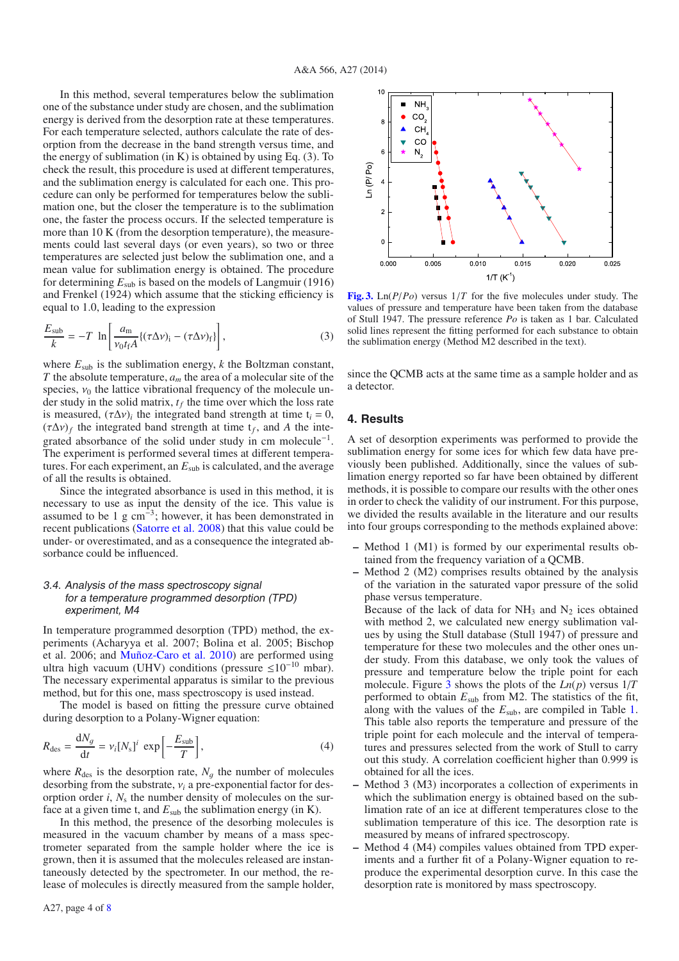In this method, several temperatures below the sublimation one of the substance under study are chosen, and the sublimation energy is derived from the desorption rate at these temperatures. For each temperature selected, authors calculate the rate of desorption from the decrease in the band strength versus time, and the energy of sublimation (in K) is obtained by using Eq.  $(3)$ . To check the result, this procedure is used at different temperatures, and the sublimation energy is calculated for each one. This procedure can only be performed for temperatures below the sublimation one, but the closer the temperature is to the sublimation one, the faster the process occurs. If the selected temperature is more than 10 K (from the desorption temperature), the measurements could last several days (or even years), so two or three temperatures are selected just below the sublimation one, and a mean value for sublimation energy is obtained. The procedure for determining *E*sub is based on the models of Langmuir (1916) and Frenkel (1924) which assume that the sticking efficiency is equal to 1.0, leading to the expression

$$
\frac{E_{\text{sub}}}{k} = -T \ln \left[ \frac{a_{\text{m}}}{\nu_0 t_f A} \{ (\tau \Delta \nu)_i - (\tau \Delta \nu)_f \} \right],
$$
\n(3)

where *E*sub is the sublimation energy, *k* the Boltzman constant, *T* the absolute temperature, *am* the area of a molecular site of the species,  $v_0$  the lattice vibrational frequency of the molecule under study in the solid matrix,  $t_f$  the time over which the loss rate is measured,  $(\tau \Delta v)_i$  the integrated band strength at time  $t_i = 0$ ,  $(\tau \Delta v)_f$  the integrated band strength at time  $t_f$ , and A the integrated absorbance of the solid under study in cm molecule<sup>−</sup>1. The experiment is performed several times at different temperatures. For each experiment, an *E*sub is calculated, and the average of all the results is obtained.

Since the integrated absorbance is used in this method, it is necessary to use as input the density of the ice. This value is assumed to be 1 g  $cm<sup>-3</sup>$ ; however, it has been demonstrated in recent publications [\(Satorre et al. 2008\)](#page-7-23) that this value could be under- or overestimated, and as a consequence the integrated absorbance could be influenced.

## 3.4. Analysis of the mass spectroscopy signal for <sup>a</sup> temperature programmed desorption (TPD) experiment, M4

In temperature programmed desorption (TPD) method, the experiments (Acharyya et al. 2007; Bolina et al. 2005; Bischop et al. 2006; and [Muñoz-Caro et al. 2010\)](#page-7-24) are performed using ultra high vacuum (UHV) conditions (pressure ≤10<sup>−</sup><sup>10</sup> mbar). The necessary experimental apparatus is similar to the previous method, but for this one, mass spectroscopy is used instead.

The model is based on fitting the pressure curve obtained during desorption to a Polany-Wigner equation:

$$
R_{\text{des}} = \frac{\text{d}N_g}{\text{d}t} = v_i [N_s]^i \exp\left[-\frac{E_{\text{sub}}}{T}\right],\tag{4}
$$

where  $R_{\text{des}}$  is the desorption rate,  $N_g$  the number of molecules desorbing from the substrate, <sup>ν</sup>*<sup>i</sup>* a pre-exponential factor for desorption order  $i$ ,  $N_s$  the number density of molecules on the surface at a given time t, and  $E_{sub}$  the sublimation energy (in K).

In this method, the presence of the desorbing molecules is measured in the vacuum chamber by means of a mass spectrometer separated from the sample holder where the ice is grown, then it is assumed that the molecules released are instantaneously detected by the spectrometer. In our method, the release of molecules is directly measured from the sample holder,

<span id="page-3-0"></span>

**[Fig. 3.](http://dexter.edpsciences.org/applet.php?DOI=10.1051/0004-6361/201323249&pdf_id=3)** Ln(*P*/*Po*) versus 1/*<sup>T</sup>* for the five molecules under study. The values of pressure and temperature have been taken from the database of Stull 1947. The pressure reference *Po* is taken as 1 bar. Calculated solid lines represent the fitting performed for each substance to obtain the sublimation energy (Method M2 described in the text).

since the QCMB acts at the same time as a sample holder and as a detector.

### **4. Results**

A set of desorption experiments was performed to provide the sublimation energy for some ices for which few data have previously been published. Additionally, since the values of sublimation energy reported so far have been obtained by different methods, it is possible to compare our results with the other ones in order to check the validity of our instrument. For this purpose, we divided the results available in the literature and our results into four groups corresponding to the methods explained above:

- **–** Method 1 (M1) is formed by our experimental results obtained from the frequency variation of a QCMB.
- **–** Method 2 (M2) comprises results obtained by the analysis of the variation in the saturated vapor pressure of the solid phase versus temperature.

Because of the lack of data for  $NH<sub>3</sub>$  and  $N<sub>2</sub>$  ices obtained with method 2, we calculated new energy sublimation values by using the Stull database (Stull 1947) of pressure and temperature for these two molecules and the other ones under study. From this database, we only took the values of pressure and temperature below the triple point for each molecule. Figure [3](#page-3-0) shows the plots of the *Ln*(*p*) versus 1/*T* performed to obtain *E*sub from M2. The statistics of the fit, along with the values of the *E*sub, are compiled in Table [1.](#page-4-0) This table also reports the temperature and pressure of the triple point for each molecule and the interval of temperatures and pressures selected from the work of Stull to carry out this study. A correlation coefficient higher than 0.999 is obtained for all the ices.

- **–** Method 3 (M3) incorporates a collection of experiments in which the sublimation energy is obtained based on the sublimation rate of an ice at different temperatures close to the sublimation temperature of this ice. The desorption rate is measured by means of infrared spectroscopy.
- **–** Method 4 (M4) compiles values obtained from TPD experiments and a further fit of a Polany-Wigner equation to reproduce the experimental desorption curve. In this case the desorption rate is monitored by mass spectroscopy.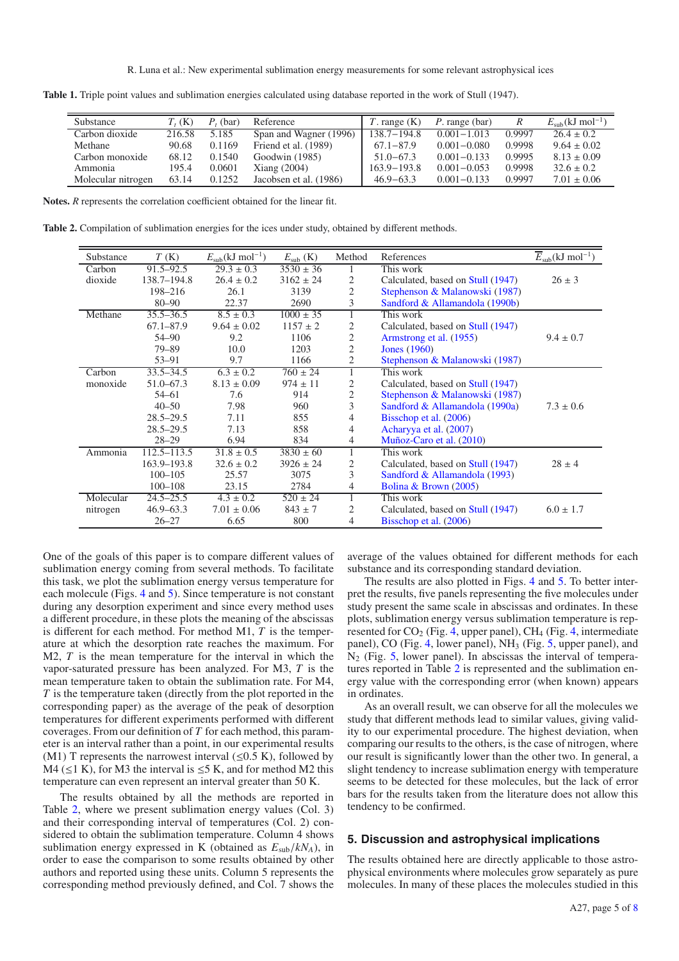R. Luna et al.: New experimental sublimation energy measurements for some relevant astrophysical ices

| <b>Substance</b>   | $T_{\epsilon}$ (K) | (bar)<br>P | Reference              | $T.$ range $(K)$ | $P$ . range (bar) | R      | $E_{sub}(kJ \text{ mol}^{-1})$ |
|--------------------|--------------------|------------|------------------------|------------------|-------------------|--------|--------------------------------|
| Carbon dioxide     | 216.58             | 5.185      | Span and Wagner (1996) | $138.7 - 194.8$  | $0.001 - 1.013$   | 0.9997 | $26.4 \pm 0.2$                 |
| Methane            | 90.68              | 0.1169     | Friend et al. (1989)   | $67.1 - 87.9$    | $0.001 - 0.080$   | 0.9998 | $9.64 \pm 0.02$                |
| Carbon monoxide    | 68.12              | 0.1540     | Goodwin (1985)         | $51.0 - 67.3$    | $0.001 - 0.133$   | 0.9995 | $8.13 \pm 0.09$                |
| Ammonia            | 195.4              | 0.0601     | Xiang $(2004)$         | $163.9 - 193.8$  | $0.001 - 0.053$   | 0.9998 | $32.6 \pm 0.2$                 |
| Molecular nitrogen | 63.14              | 0.1252     | Jacobsen et al. (1986) | $46.9 - 63.3$    | $0.001 - 0.133$   | 0.9997 | $7.01 \pm 0.06$                |

<span id="page-4-1"></span><span id="page-4-0"></span>**Table 1.** Triple point values and sublimation energies calculated using database reported in the work of Stull (1947).

**Notes.** *R* represents the correlation coefficient obtained for the linear fit.

**Table 2.** Compilation of sublimation energies for the ices under study, obtained by different methods.

| Substance | T(K)            | $E_{\rm sub}(kJ \text{ mol}^{-1})$ | $E_{sub}$ (K) | Method         | References                        | $E_{sub}(kJ \text{ mol}^{-1})$ |
|-----------|-----------------|------------------------------------|---------------|----------------|-----------------------------------|--------------------------------|
| Carbon    | $91.5 - 92.5$   | $29.3 \pm 0.3$                     | $3530 \pm 36$ |                | This work                         |                                |
| dioxide   | 138.7-194.8     | $26.4 \pm 0.2$                     | $3162 \pm 24$ | 2              | Calculated, based on Stull (1947) | $26 \pm 3$                     |
|           | 198-216         | 26.1                               | 3139          | $\overline{2}$ | Stephenson & Malanowski (1987)    |                                |
|           | $80 - 90$       | 22.37                              | 2690          | 3              | Sandford & Allamandola (1990b)    |                                |
| Methane   | $35.5 - 36.5$   | $8.5 \pm 0.3$                      | $1000 \pm 35$ |                | This work                         |                                |
|           | $67.1 - 87.9$   | $9.64 \pm 0.02$                    | $1157 \pm 2$  | 2              | Calculated, based on Stull (1947) |                                |
|           | 54-90           | 9.2                                | 1106          | 2              | Armstrong et al. (1955)           | $9.4 \pm 0.7$                  |
|           | $79 - 89$       | 10.0                               | 1203          | 2              | <b>Jones</b> (1960)               |                                |
|           | $53 - 91$       | 9.7                                | 1166          | 2              | Stephenson & Malanowski (1987)    |                                |
| Carbon    | $33.5 - 34.5$   | $6.3 \pm 0.2$                      | $760 \pm 24$  | 1              | This work                         |                                |
| monoxide  | 51.0–67.3       | $8.13 \pm 0.09$                    | $974 \pm 11$  | 2              | Calculated, based on Stull (1947) |                                |
|           | $54 - 61$       | 7.6                                | 914           | 2              | Stephenson & Malanowski (1987)    |                                |
|           | $40 - 50$       | 7.98                               | 960           | 3              | Sandford & Allamandola (1990a)    | $7.3 \pm 0.6$                  |
|           | $28.5 - 29.5$   | 7.11                               | 855           | 4              | Bisschop et al. (2006)            |                                |
|           | $28.5 - 29.5$   | 7.13                               | 858           | 4              | Acharyya et al. (2007)            |                                |
|           | $28 - 29$       | 6.94                               | 834           | 4              | Muñoz-Caro et al. (2010)          |                                |
| Ammonia   | $112.5 - 113.5$ | $31.8 \pm 0.5$                     | $3830 \pm 60$ |                | This work                         |                                |
|           | 163.9-193.8     | $32.6 \pm 0.2$                     | $3926 \pm 24$ | 2              | Calculated, based on Stull (1947) | $28 \pm 4$                     |
|           | $100 - 105$     | 25.57                              | 3075          | 3              | Sandford & Allamandola (1993)     |                                |
|           | $100 - 108$     | 23.15                              | 2784          | 4              | Bolina & Brown (2005)             |                                |
| Molecular | $24.5 - 25.5$   | $4.3 \pm 0.2$                      | $520 \pm 24$  |                | This work                         |                                |
| nitrogen  | $46.9 - 63.3$   | $7.01 \pm 0.06$                    | $843 \pm 7$   | 2              | Calculated, based on Stull (1947) | $6.0 \pm 1.7$                  |
|           | $26 - 27$       | 6.65                               | 800           | 4              | Bisschop et al. (2006)            |                                |

One of the goals of this paper is to compare different values of sublimation energy coming from several methods. To facilitate this task, we plot the sublimation energy versus temperature for each molecule (Figs. [4](#page-5-0) and [5\)](#page-5-1). Since temperature is not constant during any desorption experiment and since every method uses a different procedure, in these plots the meaning of the abscissas is different for each method. For method M1, *T* is the temperature at which the desorption rate reaches the maximum. For M2, *T* is the mean temperature for the interval in which the vapor-saturated pressure has been analyzed. For M3, *T* is the mean temperature taken to obtain the sublimation rate. For M4, *T* is the temperature taken (directly from the plot reported in the corresponding paper) as the average of the peak of desorption temperatures for different experiments performed with different coverages. From our definition of *T* for each method, this parameter is an interval rather than a point, in our experimental results (M1) T represents the narrowest interval  $(\leq 0.5 \text{ K})$ , followed by M4 ( $\leq$ 1 K), for M3 the interval is  $\leq$ 5 K, and for method M2 this temperature can even represent an interval greater than 50 K.

The results obtained by all the methods are reported in Table [2,](#page-4-1) where we present sublimation energy values (Col. 3) and their corresponding interval of temperatures (Col. 2) considered to obtain the sublimation temperature. Column 4 shows sublimation energy expressed in K (obtained as *<sup>E</sup>*sub/*kNA*), in order to ease the comparison to some results obtained by other authors and reported using these units. Column 5 represents the corresponding method previously defined, and Col. 7 shows the average of the values obtained for different methods for each substance and its corresponding standard deviation.

The results are also plotted in Figs. [4](#page-5-0) and [5.](#page-5-1) To better interpret the results, five panels representing the five molecules under study present the same scale in abscissas and ordinates. In these plots, sublimation energy versus sublimation temperature is represented for  $CO_2$  (Fig. [4,](#page-5-0) upper panel), CH<sub>4</sub> (Fig. 4, intermediate panel), CO (Fig. [4,](#page-5-0) lower panel), NH<sub>3</sub> (Fig. [5,](#page-5-1) upper panel), and  $N<sub>2</sub>$  (Fig. [5,](#page-5-1) lower panel). In abscissas the interval of temperatures reported in Table [2](#page-4-1) is represented and the sublimation energy value with the corresponding error (when known) appears in ordinates.

As an overall result, we can observe for all the molecules we study that different methods lead to similar values, giving validity to our experimental procedure. The highest deviation, when comparing our results to the others, is the case of nitrogen, where our result is significantly lower than the other two. In general, a slight tendency to increase sublimation energy with temperature seems to be detected for these molecules, but the lack of error bars for the results taken from the literature does not allow this tendency to be confirmed.

## **5. Discussion and astrophysical implications**

The results obtained here are directly applicable to those astrophysical environments where molecules grow separately as pure molecules. In many of these places the molecules studied in this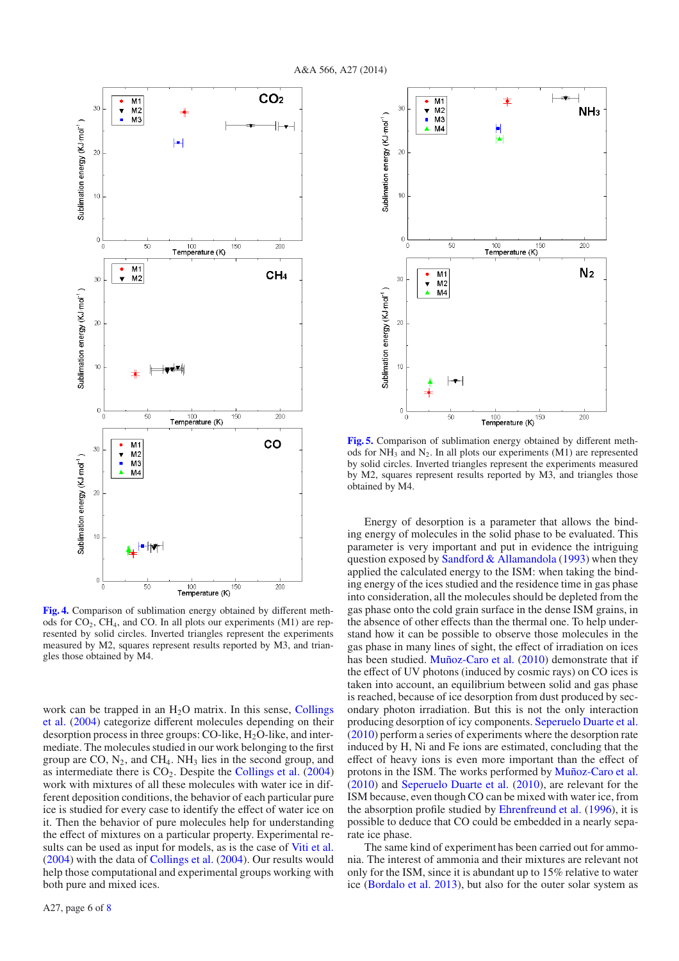

<span id="page-5-0"></span>**[Fig. 4.](http://dexter.edpsciences.org/applet.php?DOI=10.1051/0004-6361/201323249&pdf_id=4)** Comparison of sublimation energy obtained by different methods for  $CO<sub>2</sub>$ , CH<sub>4</sub>, and CO. In all plots our experiments (M1) are represented by solid circles. Inverted triangles represent the experiments measured by M2, squares represent results reported by M3, and triangles those obtained by M4.

work can be trapped in an  $H<sub>2</sub>O$  matrix. In this sense, Collings et al. [\(2004\)](#page-6-15) categorize different molecules depending on their desorption process in three groups: CO-like,  $H<sub>2</sub>O$ -like, and intermediate. The molecules studied in our work belonging to the first group are CO,  $N_2$ , and CH<sub>4</sub>. NH<sub>3</sub> lies in the second group, and as intermediate there is  $CO<sub>2</sub>$ . Despite the [Collings et al.](#page-6-15) [\(2004](#page-6-15)) work with mixtures of all these molecules with water ice in different deposition conditions, the behavior of each particular pure ice is studied for every case to identify the effect of water ice on it. Then the behavior of pure molecules help for understanding the effect of mixtures on a particular property. Experimental results can be used as input for models, as is the case of [Viti et al.](#page-7-14) [\(2004](#page-7-14)) with the data of [Collings et al.](#page-6-15) [\(2004](#page-6-15)). Our results would help those computational and experimental groups working with both pure and mixed ices.



<span id="page-5-1"></span>**[Fig. 5.](http://dexter.edpsciences.org/applet.php?DOI=10.1051/0004-6361/201323249&pdf_id=5)** Comparison of sublimation energy obtained by different methods for  $NH_3$  and  $N_2$ . In all plots our experiments (M1) are represented by solid circles. Inverted triangles represent the experiments measured by M2, squares represent results reported by M3, and triangles those obtained by M4.

Energy of desorption is a parameter that allows the binding energy of molecules in the solid phase to be evaluated. This parameter is very important and put in evidence the intriguing question exposed by Sandford  $&$  Allamandola [\(1993](#page-7-13)) when they applied the calculated energy to the ISM: when taking the binding energy of the ices studied and the residence time in gas phase into consideration, all the molecules should be depleted from the gas phase onto the cold grain surface in the dense ISM grains, in the absence of other effects than the thermal one. To help understand how it can be possible to observe those molecules in the gas phase in many lines of sight, the effect of irradiation on ices has been studied. [Muñoz-Caro et al.](#page-7-24) [\(2010](#page-7-24)) demonstrate that if the effect of UV photons (induced by cosmic rays) on CO ices is taken into account, an equilibrium between solid and gas phase is reached, because of ice desorption from dust produced by secondary photon irradiation. But this is not the only interaction producing desorption of icy components. [Seperuelo Duarte et al.](#page-7-28) [\(2010\)](#page-7-28) perform a series of experiments where the desorption rate induced by H, Ni and Fe ions are estimated, concluding that the effect of heavy ions is even more important than the effect of protons in the ISM. The works performed by [Muñoz-Caro et al.](#page-7-24) [\(2010\)](#page-7-24) and [Seperuelo Duarte et al.](#page-7-28) [\(2010\)](#page-7-28), are relevant for the ISM because, even though CO can be mixed with water ice, from the absorption profile studied by [Ehrenfreund et al.](#page-6-16) [\(1996\)](#page-6-16), it is possible to deduce that CO could be embedded in a nearly separate ice phase.

The same kind of experiment has been carried out for ammonia. The interest of ammonia and their mixtures are relevant not only for the ISM, since it is abundant up to 15% relative to water ice [\(Bordalo et al. 2013\)](#page-6-17), but also for the outer solar system as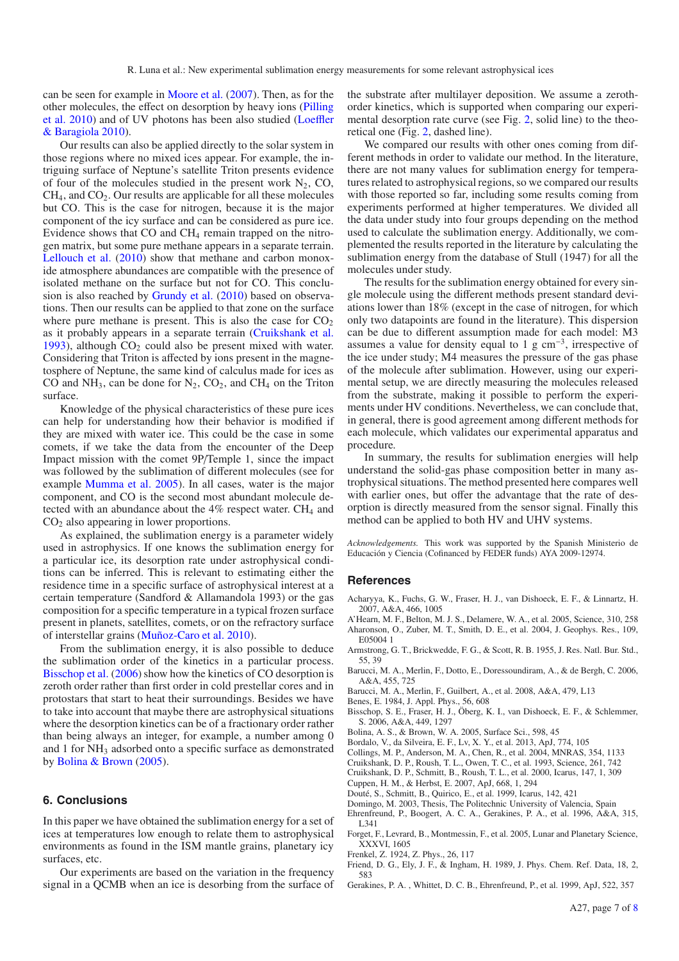can be seen for example in [Moore et al.](#page-7-29) [\(2007\)](#page-7-29). Then, as for the other molecules, the eff[ect on desorption by heavy ions \(](#page-7-30)Pilling et al. [2010](#page-7-30)) [and of UV photons has been also studied \(](#page-7-31)Loeffler & Baragiola [2010](#page-7-31)).

Our results can also be applied directly to the solar system in those regions where no mixed ices appear. For example, the intriguing surface of Neptune's satellite Triton presents evidence of four of the molecules studied in the present work  $N_2$ , CO,  $CH<sub>4</sub>$ , and  $CO<sub>2</sub>$ . Our results are applicable for all these molecules but CO. This is the case for nitrogen, because it is the major component of the icy surface and can be considered as pure ice. Evidence shows that CO and CH4 remain trapped on the nitrogen matrix, but some pure methane appears in a separate terrain. [Lellouch et al.](#page-7-16) [\(2010\)](#page-7-16) show that methane and carbon monoxide atmosphere abundances are compatible with the presence of isolated methane on the surface but not for CO. This conclusion is also reached by [Grundy et al.](#page-7-32) [\(2010](#page-7-32)) based on observations. Then our results can be applied to that zone on the surface where pure methane is present. This is also the case for  $CO<sub>2</sub>$ as it probably appears in a separate terrain [\(Cruikshank et al.](#page-6-7) [1993\)](#page-6-7), although  $CO<sub>2</sub>$  could also be present mixed with water. Considering that Triton is affected by ions present in the magnetosphere of Neptune, the same kind of calculus made for ices as CO and  $NH_3$ , can be done for  $N_2$ , CO<sub>2</sub>, and CH<sub>4</sub> on the Triton surface.

Knowledge of the physical characteristics of these pure ices can help for understanding how their behavior is modified if they are mixed with water ice. This could be the case in some comets, if we take the data from the encounter of the Deep Impact mission with the comet 9P/Temple 1, since the impact was followed by the sublimation of different molecules (see for example [Mumma et al. 2005](#page-7-1)). In all cases, water is the major component, and CO is the second most abundant molecule detected with an abundance about the  $4\%$  respect water. CH<sub>4</sub> and  $CO<sub>2</sub>$  also appearing in lower proportions.

As explained, the sublimation energy is a parameter widely used in astrophysics. If one knows the sublimation energy for a particular ice, its desorption rate under astrophysical conditions can be inferred. This is relevant to estimating either the residence time in a specific surface of astrophysical interest at a certain temperature (Sandford & Allamandola 1993) or the gas composition for a specific temperature in a typical frozen surface present in planets, satellites, comets, or on the refractory surface of interstellar grains [\(Muñoz-Caro et al. 2010](#page-7-24)).

From the sublimation energy, it is also possible to deduce the sublimation order of the kinetics in a particular process. [Bisschop et al.](#page-6-12) [\(2006\)](#page-6-12) show how the kinetics of CO desorption is zeroth order rather than first order in cold prestellar cores and in protostars that start to heat their surroundings. Besides we have to take into account that maybe there are astrophysical situations where the desorption kinetics can be of a fractionary order rather than being always an integer, for example, a number among 0 and 1 for NH<sub>3</sub> adsorbed onto a specific surface as demonstrated by [Bolina & Brown](#page-6-14) [\(2005](#page-6-14)).

## **6. Conclusions**

In this paper we have obtained the sublimation energy for a set of ices at temperatures low enough to relate them to astrophysical environments as found in the ISM mantle grains, planetary icy surfaces, etc.

Our experiments are based on the variation in the frequency signal in a QCMB when an ice is desorbing from the surface of the substrate after multilayer deposition. We assume a zerothorder kinetics, which is supported when comparing our experimental desorption rate curve (see Fig. [2,](#page-2-0) solid line) to the theoretical one (Fig. [2,](#page-2-0) dashed line).

We compared our results with other ones coming from different methods in order to validate our method. In the literature, there are not many values for sublimation energy for temperatures related to astrophysical regions, so we compared our results with those reported so far, including some results coming from experiments performed at higher temperatures. We divided all the data under study into four groups depending on the method used to calculate the sublimation energy. Additionally, we complemented the results reported in the literature by calculating the sublimation energy from the database of Stull (1947) for all the molecules under study.

The results for the sublimation energy obtained for every single molecule using the different methods present standard deviations lower than 18% (except in the case of nitrogen, for which only two datapoints are found in the literature). This dispersion can be due to different assumption made for each model: M3 assumes a value for density equal to 1 g cm<sup>−</sup>3, irrespective of the ice under study; M4 measures the pressure of the gas phase of the molecule after sublimation. However, using our experimental setup, we are directly measuring the molecules released from the substrate, making it possible to perform the experiments under HV conditions. Nevertheless, we can conclude that, in general, there is good agreement among different methods for each molecule, which validates our experimental apparatus and procedure.

In summary, the results for sublimation energies will help understand the solid-gas phase composition better in many astrophysical situations. The method presented here compares well with earlier ones, but offer the advantage that the rate of desorption is directly measured from the sensor signal. Finally this method can be applied to both HV and UHV systems.

*Acknowledgements.* This work was supported by the Spanish Ministerio de Educación y Ciencia (Cofinanced by FEDER funds) AYA 2009-12974.

#### **References**

- <span id="page-6-13"></span>Acharyya, K., Fuchs, G. W., Fraser, H. J., van Dishoeck, E. F., & Linnartz, H. 2007, A&A, 466, 1005
- <span id="page-6-8"></span><span id="page-6-4"></span>A'Hearn, M. F., Belton, M. J. S., Delamere, W. A., et al. 2005, Science, 310, 258 Aharonson, O., Zuber, M. T., Smith, D. E., et al. 2004, J. Geophys. Res., 109, E05004 1
- <span id="page-6-11"></span>Armstrong, G. T., Brickwedde, F. G., & Scott, R. B. 1955, J. Res. Natl. Bur. Std., 55, 39
- <span id="page-6-3"></span>Barucci, M. A., Merlin, F., Dotto, E., Doressoundiram, A., & de Bergh, C. 2006, A&A, 455, 725
- <span id="page-6-9"></span>Barucci, M. A., Merlin, F., Guilbert, A., et al. 2008, A&A, 479, L13
- <span id="page-6-10"></span>Benes, E. 1984, J. Appl. Phys., 56, 608
- <span id="page-6-12"></span>Bisschop, S. E., Fraser, H. J., Öberg, K. I., van Dishoeck, E. F., & Schlemmer, S. 2006, A&A, 449, 1297
- Bolina, A. S., & Brown, W. A. 2005, Surface Sci., 598, 45
- Bordalo, V., da Silveira, E. F., Lv, X. Y., et al. 2013, ApJ, 774, 105
- <span id="page-6-17"></span><span id="page-6-15"></span><span id="page-6-14"></span><span id="page-6-7"></span>Collings, M. P., Anderson, M. A., Chen, R., et al. 2004, MNRAS, 354, 1133
- Cruikshank, D. P., Roush, T. L., Owen, T. C., et al. 1993, Science, 261, 742
- <span id="page-6-1"></span>Cruikshank, D. P., Schmitt, B., Roush, T. L., et al. 2000, Icarus, 147, 1, 309
- Cuppen, H. M., & Herbst, E. 2007, ApJ, 668, 1, 294
- <span id="page-6-6"></span><span id="page-6-0"></span>Douté, S., Schmitt, B., Quirico, E., et al. 1999, Icarus, 142, 421
- Domingo, M. 2003, Thesis, The Politechnic University of Valencia, Spain
- <span id="page-6-16"></span>Ehrenfreund, P., Boogert, A. C. A., Gerakines, P. A., et al. 1996, A&A, 315, L341
- <span id="page-6-2"></span>Forget, F., Levrard, B., Montmessin, F., et al. 2005, Lunar and Planetary Science, XXXVI, 1605
- Frenkel, Z. 1924, Z. Phys., 26, 117
- Friend, D. G., Ely, J. F., & Ingham, H. 1989, J. Phys. Chem. Ref. Data, 18, 2, 583
- <span id="page-6-5"></span>Gerakines, P. A. , Whittet, D. C. B., Ehrenfreund, P., et al. 1999, ApJ, 522, 357